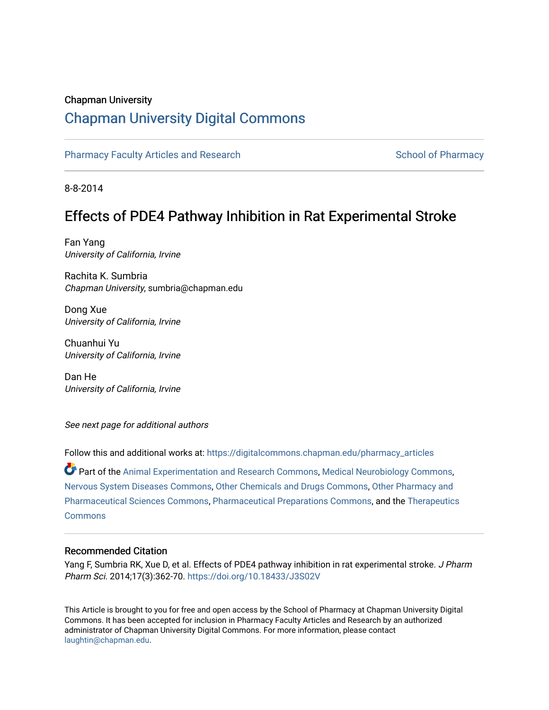#### Chapman University

# [Chapman University Digital Commons](https://digitalcommons.chapman.edu/)

[Pharmacy Faculty Articles and Research](https://digitalcommons.chapman.edu/pharmacy_articles) [School of Pharmacy](https://digitalcommons.chapman.edu/cusp) School of Pharmacy

8-8-2014

## Effects of PDE4 Pathway Inhibition in Rat Experimental Stroke

Fan Yang University of California, Irvine

Rachita K. Sumbria Chapman University, sumbria@chapman.edu

Dong Xue University of California, Irvine

Chuanhui Yu University of California, Irvine

Dan He University of California, Irvine

See next page for additional authors

Follow this and additional works at: [https://digitalcommons.chapman.edu/pharmacy\\_articles](https://digitalcommons.chapman.edu/pharmacy_articles?utm_source=digitalcommons.chapman.edu%2Fpharmacy_articles%2F861&utm_medium=PDF&utm_campaign=PDFCoverPages)

Part of the [Animal Experimentation and Research Commons,](http://network.bepress.com/hgg/discipline/1390?utm_source=digitalcommons.chapman.edu%2Fpharmacy_articles%2F861&utm_medium=PDF&utm_campaign=PDFCoverPages) [Medical Neurobiology Commons,](http://network.bepress.com/hgg/discipline/674?utm_source=digitalcommons.chapman.edu%2Fpharmacy_articles%2F861&utm_medium=PDF&utm_campaign=PDFCoverPages) [Nervous System Diseases Commons](http://network.bepress.com/hgg/discipline/928?utm_source=digitalcommons.chapman.edu%2Fpharmacy_articles%2F861&utm_medium=PDF&utm_campaign=PDFCoverPages), [Other Chemicals and Drugs Commons,](http://network.bepress.com/hgg/discipline/951?utm_source=digitalcommons.chapman.edu%2Fpharmacy_articles%2F861&utm_medium=PDF&utm_campaign=PDFCoverPages) [Other Pharmacy and](http://network.bepress.com/hgg/discipline/737?utm_source=digitalcommons.chapman.edu%2Fpharmacy_articles%2F861&utm_medium=PDF&utm_campaign=PDFCoverPages)  [Pharmaceutical Sciences Commons,](http://network.bepress.com/hgg/discipline/737?utm_source=digitalcommons.chapman.edu%2Fpharmacy_articles%2F861&utm_medium=PDF&utm_campaign=PDFCoverPages) [Pharmaceutical Preparations Commons,](http://network.bepress.com/hgg/discipline/936?utm_source=digitalcommons.chapman.edu%2Fpharmacy_articles%2F861&utm_medium=PDF&utm_campaign=PDFCoverPages) and the [Therapeutics](http://network.bepress.com/hgg/discipline/993?utm_source=digitalcommons.chapman.edu%2Fpharmacy_articles%2F861&utm_medium=PDF&utm_campaign=PDFCoverPages)  [Commons](http://network.bepress.com/hgg/discipline/993?utm_source=digitalcommons.chapman.edu%2Fpharmacy_articles%2F861&utm_medium=PDF&utm_campaign=PDFCoverPages)

#### Recommended Citation

Yang F, Sumbria RK, Xue D, et al. Effects of PDE4 pathway inhibition in rat experimental stroke. J Pharm Pharm Sci. 2014;17(3):362-70.<https://doi.org/10.18433/J3S02V>

This Article is brought to you for free and open access by the School of Pharmacy at Chapman University Digital Commons. It has been accepted for inclusion in Pharmacy Faculty Articles and Research by an authorized administrator of Chapman University Digital Commons. For more information, please contact [laughtin@chapman.edu.](mailto:laughtin@chapman.edu)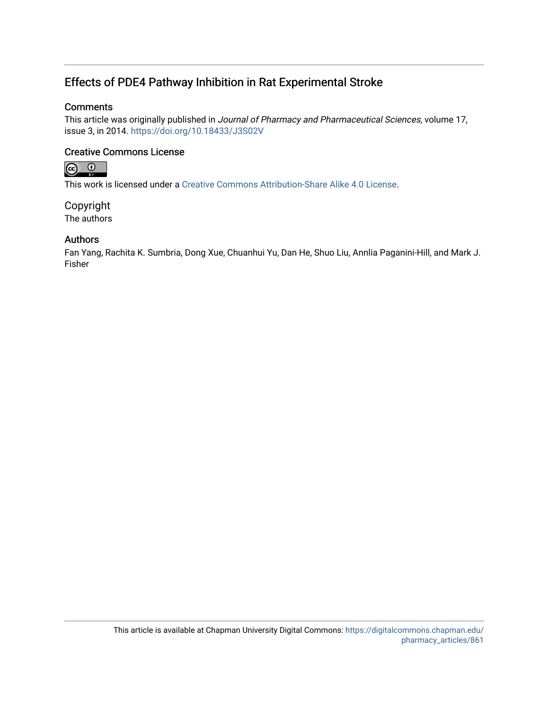## Effects of PDE4 Pathway Inhibition in Rat Experimental Stroke

#### **Comments**

This article was originally published in Journal of Pharmacy and Pharmaceutical Sciences, volume 17, issue 3, in 2014. <https://doi.org/10.18433/J3S02V>

#### Creative Commons License



This work is licensed under a [Creative Commons Attribution-Share Alike 4.0 License.](https://creativecommons.org/licenses/by-sa/4.0/)

Copyright The authors

#### Authors

Fan Yang, Rachita K. Sumbria, Dong Xue, Chuanhui Yu, Dan He, Shuo Liu, Annlia Paganini-Hill, and Mark J. Fisher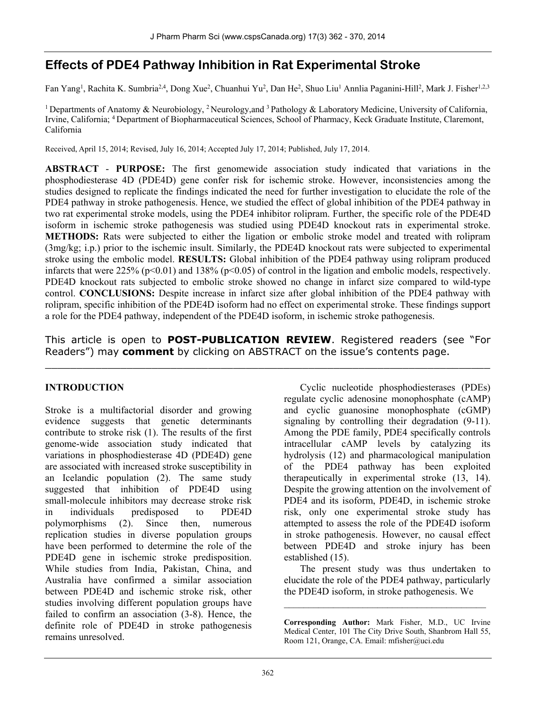# **Effects of PDE4 Pathway Inhibition in Rat Experimental Stroke**

Fan Yang<sup>1</sup>, Rachita K. Sumbria<sup>2,4</sup>, Dong Xue<sup>2</sup>, Chuanhui Yu<sup>2</sup>, Dan He<sup>2</sup>, Shuo Liu<sup>1</sup> Annlia Paganini-Hill<sup>2</sup>, Mark J. Fisher<sup>1,2,3</sup>

<sup>1</sup> Departments of Anatomy & Neurobiology, <sup>2</sup> Neurology, and <sup>3</sup> Pathology & Laboratory Medicine, University of California, Irvine, California; 4 Department of Biopharmaceutical Sciences, School of Pharmacy, Keck Graduate Institute, Claremont, California

Received, April 15, 2014; Revised, July 16, 2014; Accepted July 17, 2014; Published, July 17, 2014.

**ABSTRACT** - **PURPOSE:** The first genomewide association study indicated that variations in the phosphodiesterase 4D (PDE4D) gene confer risk for ischemic stroke. However, inconsistencies among the studies designed to replicate the findings indicated the need for further investigation to elucidate the role of the PDE4 pathway in stroke pathogenesis. Hence, we studied the effect of global inhibition of the PDE4 pathway in two rat experimental stroke models, using the PDE4 inhibitor rolipram. Further, the specific role of the PDE4D isoform in ischemic stroke pathogenesis was studied using PDE4D knockout rats in experimental stroke. **METHODS:** Rats were subjected to either the ligation or embolic stroke model and treated with rolipram (3mg/kg; i.p.) prior to the ischemic insult. Similarly, the PDE4D knockout rats were subjected to experimental stroke using the embolic model. **RESULTS:** Global inhibition of the PDE4 pathway using rolipram produced infarcts that were 225% (p<0.01) and 138% (p<0.05) of control in the ligation and embolic models, respectively. PDE4D knockout rats subjected to embolic stroke showed no change in infarct size compared to wild-type control. **CONCLUSIONS:** Despite increase in infarct size after global inhibition of the PDE4 pathway with rolipram, specific inhibition of the PDE4D isoform had no effect on experimental stroke. These findings support a role for the PDE4 pathway, independent of the PDE4D isoform, in ischemic stroke pathogenesis.

This article is open to **POST-PUBLICATION REVIEW**. Registered readers (see "For Readers") may **comment** by clicking on ABSTRACT on the issue's contents page.

 $\_$  , and the contribution of the contribution of  $\mathcal{L}_\mathcal{A}$  , and the contribution of  $\mathcal{L}_\mathcal{A}$ 

#### **INTRODUCTION**

Stroke is a multifactorial disorder and growing evidence suggests that genetic determinants contribute to stroke risk (1). The results of the first genome-wide association study indicated that variations in phosphodiesterase 4D (PDE4D) gene are associated with increased stroke susceptibility in an Icelandic population (2). The same study suggested that inhibition of PDE4D using small-molecule inhibitors may decrease stroke risk in individuals predisposed to PDE4D polymorphisms (2). Since then, numerous replication studies in diverse population groups have been performed to determine the role of the PDE4D gene in ischemic stroke predisposition. While studies from India, Pakistan, China, and Australia have confirmed a similar association between PDE4D and ischemic stroke risk, other studies involving different population groups have failed to confirm an association (3-8). Hence, the definite role of PDE4D in stroke pathogenesis remains unresolved.

Cyclic nucleotide phosphodiesterases (PDEs) regulate cyclic adenosine monophosphate (cAMP) and cyclic guanosine monophosphate (cGMP) signaling by controlling their degradation (9-11). Among the PDE family, PDE4 specifically controls intracellular cAMP levels by catalyzing its hydrolysis (12) and pharmacological manipulation of the PDE4 pathway has been exploited therapeutically in experimental stroke (13, 14). Despite the growing attention on the involvement of PDE4 and its isoform, PDE4D, in ischemic stroke risk, only one experimental stroke study has attempted to assess the role of the PDE4D isoform in stroke pathogenesis. However, no causal effect between PDE4D and stroke injury has been established (15).

The present study was thus undertaken to elucidate the role of the PDE4 pathway, particularly the PDE4D isoform, in stroke pathogenesis. We

 $\mathcal{L}_\text{max}$ 

**Corresponding Author:** Mark Fisher, M.D., UC Irvine Medical Center, 101 The City Drive South, Shanbrom Hall 55, Room 121, Orange, CA. Email: mfisher@uci.edu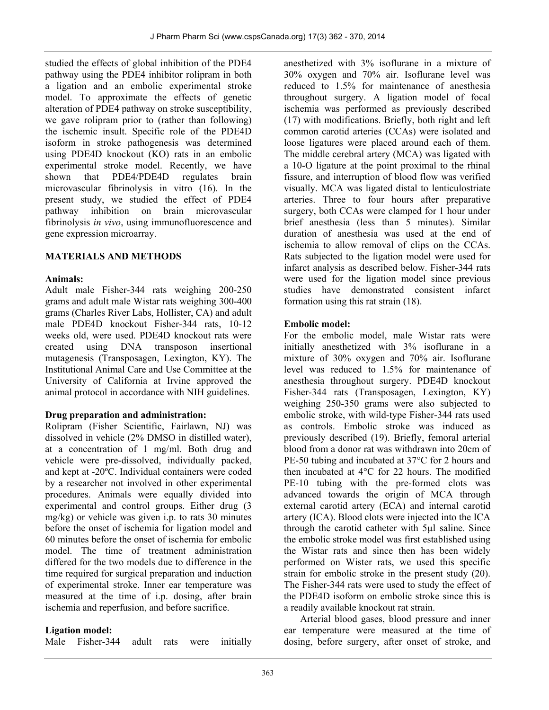studied the effects of global inhibition of the PDE4 pathway using the PDE4 inhibitor rolipram in both a ligation and an embolic experimental stroke model. To approximate the effects of genetic alteration of PDE4 pathway on stroke susceptibility, we gave rolipram prior to (rather than following) the ischemic insult. Specific role of the PDE4D isoform in stroke pathogenesis was determined using PDE4D knockout (KO) rats in an embolic experimental stroke model. Recently, we have shown that PDE4/PDE4D regulates brain microvascular fibrinolysis in vitro (16). In the present study, we studied the effect of PDE4 pathway inhibition on brain microvascular fibrinolysis *in vivo*, using immunofluorescence and gene expression microarray.

## **MATERIALS AND METHODS**

#### **Animals:**

Adult male Fisher-344 rats weighing 200-250 grams and adult male Wistar rats weighing 300-400 grams (Charles River Labs, Hollister, CA) and adult male PDE4D knockout Fisher-344 rats, 10-12 weeks old, were used. PDE4D knockout rats were created using DNA transposon insertional mutagenesis (Transposagen, Lexington, KY). The Institutional Animal Care and Use Committee at the University of California at Irvine approved the animal protocol in accordance with NIH guidelines.

#### **Drug preparation and administration:**

Rolipram (Fisher Scientific, Fairlawn, NJ) was dissolved in vehicle (2% DMSO in distilled water), at a concentration of 1 mg/ml. Both drug and vehicle were pre-dissolved, individually packed, and kept at -20ºC. Individual containers were coded by a researcher not involved in other experimental procedures. Animals were equally divided into experimental and control groups. Either drug (3 mg/kg) or vehicle was given i.p. to rats 30 minutes before the onset of ischemia for ligation model and 60 minutes before the onset of ischemia for embolic model. The time of treatment administration differed for the two models due to difference in the time required for surgical preparation and induction of experimental stroke. Inner ear temperature was measured at the time of i.p. dosing, after brain ischemia and reperfusion, and before sacrifice.

#### **Ligation model:**

Male Fisher-344 adult rats were initially

anesthetized with 3% isoflurane in a mixture of 30% oxygen and 70% air. Isoflurane level was reduced to 1.5% for maintenance of anesthesia throughout surgery. A ligation model of focal ischemia was performed as previously described (17) with modifications. Briefly, both right and left common carotid arteries (CCAs) were isolated and loose ligatures were placed around each of them. The middle cerebral artery (MCA) was ligated with a 10-O ligature at the point proximal to the rhinal fissure, and interruption of blood flow was verified visually. MCA was ligated distal to lenticulostriate arteries. Three to four hours after preparative surgery, both CCAs were clamped for 1 hour under brief anesthesia (less than 5 minutes). Similar duration of anesthesia was used at the end of ischemia to allow removal of clips on the CCAs. Rats subjected to the ligation model were used for infarct analysis as described below. Fisher-344 rats were used for the ligation model since previous studies have demonstrated consistent infarct formation using this rat strain (18).

### **Embolic model:**

For the embolic model, male Wistar rats were initially anesthetized with 3% isoflurane in a mixture of 30% oxygen and 70% air. Isoflurane level was reduced to 1.5% for maintenance of anesthesia throughout surgery. PDE4D knockout Fisher-344 rats (Transposagen, Lexington, KY) weighing 250-350 grams were also subjected to embolic stroke, with wild-type Fisher-344 rats used as controls. Embolic stroke was induced as previously described (19). Briefly, femoral arterial blood from a donor rat was withdrawn into 20cm of PE-50 tubing and incubated at 37°C for 2 hours and then incubated at 4°C for 22 hours. The modified PE-10 tubing with the pre-formed clots was advanced towards the origin of MCA through external carotid artery (ECA) and internal carotid artery (ICA). Blood clots were injected into the ICA through the carotid catheter with 5µl saline. Since the embolic stroke model was first established using the Wistar rats and since then has been widely performed on Wister rats, we used this specific strain for embolic stroke in the present study (20). The Fisher-344 rats were used to study the effect of the PDE4D isoform on embolic stroke since this is a readily available knockout rat strain.

Arterial blood gases, blood pressure and inner ear temperature were measured at the time of dosing, before surgery, after onset of stroke, and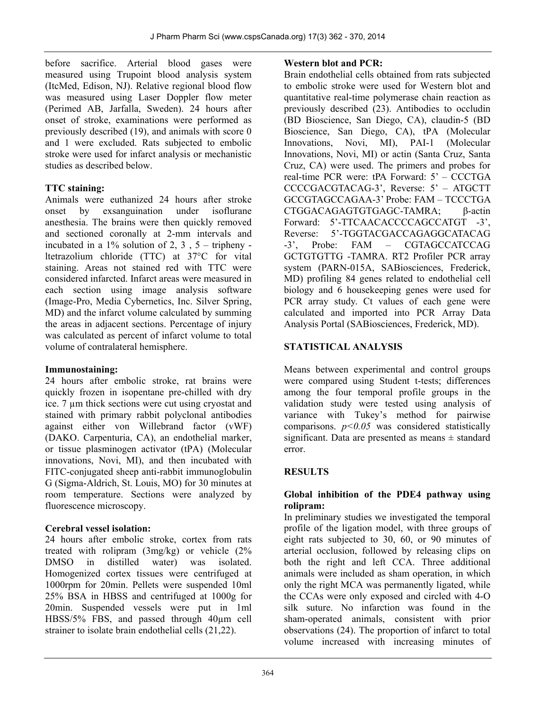before sacrifice. Arterial blood gases were measured using Trupoint blood analysis system (ItcMed, Edison, NJ). Relative regional blood flow was measured using Laser Doppler flow meter (Perimed AB, Jarfalla, Sweden). 24 hours after onset of stroke, examinations were performed as previously described (19), and animals with score 0 and 1 were excluded. Rats subjected to embolic stroke were used for infarct analysis or mechanistic studies as described below.

### **TTC staining:**

Animals were euthanized 24 hours after stroke onset by exsanguination under isoflurane anesthesia. The brains were then quickly removed and sectioned coronally at 2-mm intervals and incubated in a  $1\%$  solution of 2, 3, 5 – tripheny ltetrazolium chloride (TTC) at 37°C for vital staining. Areas not stained red with TTC were considered infarcted. Infarct areas were measured in each section using image analysis software (Image-Pro, Media Cybernetics, Inc. Silver Spring, MD) and the infarct volume calculated by summing the areas in adjacent sections. Percentage of injury was calculated as percent of infarct volume to total volume of contralateral hemisphere.

#### **Immunostaining:**

24 hours after embolic stroke, rat brains were quickly frozen in isopentane pre-chilled with dry ice. 7 µm thick sections were cut using cryostat and stained with primary rabbit polyclonal antibodies against either von Willebrand factor (vWF) (DAKO. Carpenturia, CA), an endothelial marker, or tissue plasminogen activator (tPA) (Molecular innovations, Novi, MI), and then incubated with FITC-conjugated sheep anti-rabbit immunoglobulin G (Sigma-Aldrich, St. Louis, MO) for 30 minutes at room temperature. Sections were analyzed by fluorescence microscopy.

## **Cerebral vessel isolation:**

24 hours after embolic stroke, cortex from rats treated with rolipram (3mg/kg) or vehicle (2% DMSO in distilled water) was isolated. Homogenized cortex tissues were centrifuged at 1000rpm for 20min. Pellets were suspended 10ml 25% BSA in HBSS and centrifuged at 1000g for 20min. Suspended vessels were put in 1ml HBSS/5% FBS, and passed through 40µm cell strainer to isolate brain endothelial cells (21,22).

### **Western blot and PCR:**

Brain endothelial cells obtained from rats subjected to embolic stroke were used for Western blot and quantitative real-time polymerase chain reaction as previously described (23). Antibodies to occludin (BD Bioscience, San Diego, CA), claudin-5 (BD Bioscience, San Diego, CA), tPA (Molecular Innovations, Novi, MI), PAI-1 (Molecular Innovations, Novi, MI) or actin (Santa Cruz, Santa Cruz, CA) were used. The primers and probes for real-time PCR were: tPA Forward: 5' – CCCTGA CCCCGACGTACAG-3', Reverse: 5' – ATGCTT GCCGTAGCCAGAA-3' Probe: FAM – TCCCTGA CTGGACAGAGTGTGAGC-TAMRA; β-actin Forward: 5'-TTCAACACCCCAGCCATGT -3', Reverse: 5'-TGGTACGACCAGAGGCATACAG -3', Probe: FAM – CGTAGCCATCCAG GCTGTGTTG -TAMRA. RT2 Profiler PCR array system (PARN-015A, SABiosciences, Frederick, MD) profiling 84 genes related to endothelial cell biology and 6 housekeeping genes were used for PCR array study. Ct values of each gene were calculated and imported into PCR Array Data Analysis Portal (SABiosciences, Frederick, MD).

## **STATISTICAL ANALYSIS**

Means between experimental and control groups were compared using Student t-tests; differences among the four temporal profile groups in the validation study were tested using analysis of variance with Tukey's method for pairwise comparisons.  $p<0.05$  was considered statistically significant. Data are presented as means  $\pm$  standard error.

## **RESULTS**

### **Global inhibition of the PDE4 pathway using rolipram:**

In preliminary studies we investigated the temporal profile of the ligation model, with three groups of eight rats subjected to 30, 60, or 90 minutes of arterial occlusion, followed by releasing clips on both the right and left CCA. Three additional animals were included as sham operation, in which only the right MCA was permanently ligated, while the CCAs were only exposed and circled with 4-O silk suture. No infarction was found in the sham-operated animals, consistent with prior observations (24). The proportion of infarct to total volume increased with increasing minutes of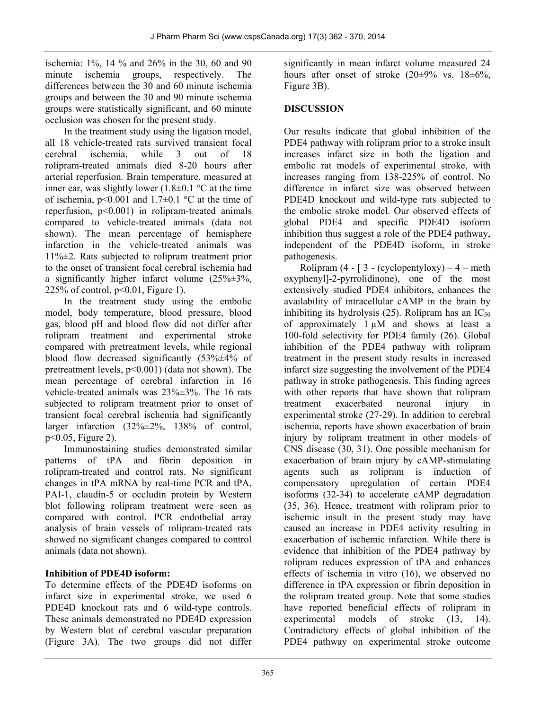ischemia: 1%, 14 % and 26% in the 30, 60 and 90 minute ischemia groups, respectively. The differences between the 30 and 60 minute ischemia groups and between the 30 and 90 minute ischemia groups were statistically significant, and 60 minute occlusion was chosen for the present study.

In the treatment study using the ligation model, all 18 vehicle-treated rats survived transient focal cerebral ischemia, while 3 out of 18 rolipram-treated animals died 8-20 hours after arterial reperfusion. Brain temperature, measured at inner ear, was slightly lower  $(1.8\pm0.1 \degree C)$  at the time of ischemia,  $p<0.001$  and  $1.7\pm0.1$  °C at the time of reperfusion,  $p<0.001$  in rolipram-treated animals compared to vehicle-treated animals (data not shown). The mean percentage of hemisphere infarction in the vehicle-treated animals was 11%±2. Rats subjected to rolipram treatment prior to the onset of transient focal cerebral ischemia had a significantly higher infarct volume  $(25\% \pm 3\%$ , 225% of control,  $p<0.01$ , Figure 1).

In the treatment study using the embolic model, body temperature, blood pressure, blood gas, blood pH and blood flow did not differ after rolipram treatment and experimental stroke compared with pretreatment levels, while regional blood flow decreased significantly  $(53\% \pm 4\%)$  of pretreatment levels, p<0.001) (data not shown). The mean percentage of cerebral infarction in 16 vehicle-treated animals was 23%±3%. The 16 rats subjected to rolipram treatment prior to onset of transient focal cerebral ischemia had significantly larger infarction (32%±2%, 138% of control, p<0.05, Figure 2).

Immunostaining studies demonstrated similar patterns of tPA and fibrin deposition in rolipram-treated and control rats. No significant changes in tPA mRNA by real-time PCR and tPA, PAI-1, claudin-5 or occludin protein by Western blot following rolipram treatment were seen as compared with control. PCR endothelial array analysis of brain vessels of rolipram-treated rats showed no significant changes compared to control animals (data not shown).

## **Inhibition of PDE4D isoform:**

To determine effects of the PDE4D isoforms on infarct size in experimental stroke, we used 6 PDE4D knockout rats and 6 wild-type controls. These animals demonstrated no PDE4D expression by Western blot of cerebral vascular preparation (Figure 3A). The two groups did not differ

significantly in mean infarct volume measured 24 hours after onset of stroke  $(20\pm9\% \text{ vs. } 18\pm6\%$ , Figure 3B).

### **DISCUSSION**

Our results indicate that global inhibition of the PDE4 pathway with rolipram prior to a stroke insult increases infarct size in both the ligation and embolic rat models of experimental stroke, with increases ranging from 138-225% of control. No difference in infarct size was observed between PDE4D knockout and wild-type rats subjected to the embolic stroke model. Our observed effects of global PDE4 and specific PDE4D isoform inhibition thus suggest a role of the PDE4 pathway, independent of the PDE4D isoform, in stroke pathogenesis.

Rolipram  $(4 - 3 - (cyclopentyloxy) - 4 - meth)$ oxyphenyl]-2-pyrrolidinone), one of the most extensively studied PDE4 inhibitors, enhances the availability of intracellular cAMP in the brain by inhibiting its hydrolysis (25). Rolipram has an  $IC_{50}$ of approximately  $1 \mu M$  and shows at least a 100-fold selectivity for PDE4 family (26). Global inhibition of the PDE4 pathway with rolipram treatment in the present study results in increased infarct size suggesting the involvement of the PDE4 pathway in stroke pathogenesis. This finding agrees with other reports that have shown that rolipram treatment exacerbated neuronal injury in experimental stroke (27-29). In addition to cerebral ischemia, reports have shown exacerbation of brain injury by rolipram treatment in other models of CNS disease (30, 31). One possible mechanism for exacerbation of brain injury by cAMP-stimulating agents such as rolipram is induction of compensatory upregulation of certain PDE4 isoforms (32-34) to accelerate cAMP degradation (35, 36). Hence, treatment with rolipram prior to ischemic insult in the present study may have caused an increase in PDE4 activity resulting in exacerbation of ischemic infarction. While there is evidence that inhibition of the PDE4 pathway by rolipram reduces expression of tPA and enhances effects of ischemia in vitro (16), we observed no difference in tPA expression or fibrin deposition in the rolipram treated group. Note that some studies have reported beneficial effects of rolipram in experimental models of stroke (13, 14). Contradictory effects of global inhibition of the PDE4 pathway on experimental stroke outcome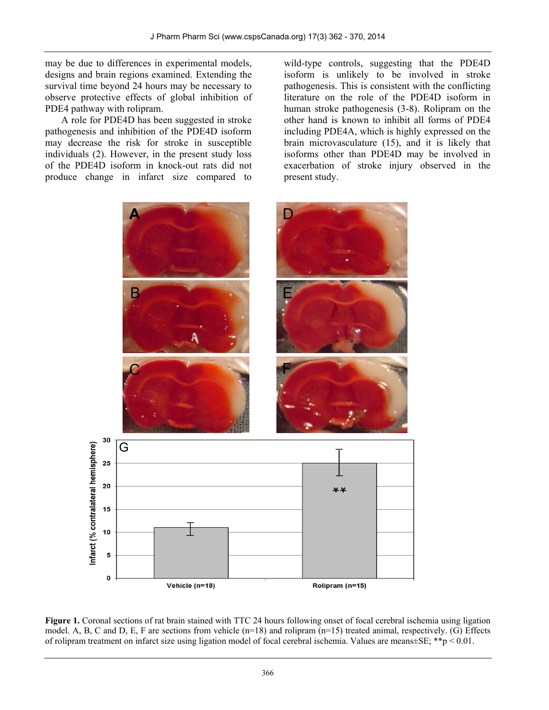may be due to differences in experimental models, designs and brain regions examined. Extending the survival time beyond 24 hours may be necessary to observe protective effects of global inhibition of PDE4 pathway with rolipram.

A role for PDE4D has been suggested in stroke pathogenesis and inhibition of the PDE4D isoform may decrease the risk for stroke in susceptible individuals (2). However, in the present study loss of the PDE4D isoform in knock-out rats did not produce change in infarct size compared to

wild-type controls, suggesting that the PDE4D isoform is unlikely to be involved in stroke pathogenesis. This is consistent with the conflicting literature on the role of the PDE4D isoform in human stroke pathogenesis (3-8). Rolipram on the other hand is known to inhibit all forms of PDE4 including PDE4A, which is highly expressed on the brain microvasculature (15), and it is likely that isoforms other than PDE4D may be involved in exacerbation of stroke injury observed in the present study.



**Figure 1.** Coronal sections of rat brain stained with TTC 24 hours following onset of focal cerebral ischemia using ligation model. A, B, C and D, E, F are sections from vehicle (n=18) and rolipram (n=15) treated animal, respectively. (G) Effects of rolipram treatment on infarct size using ligation model of focal cerebral ischemia. Values are means $\pm SE$ ; \*\*p < 0.01.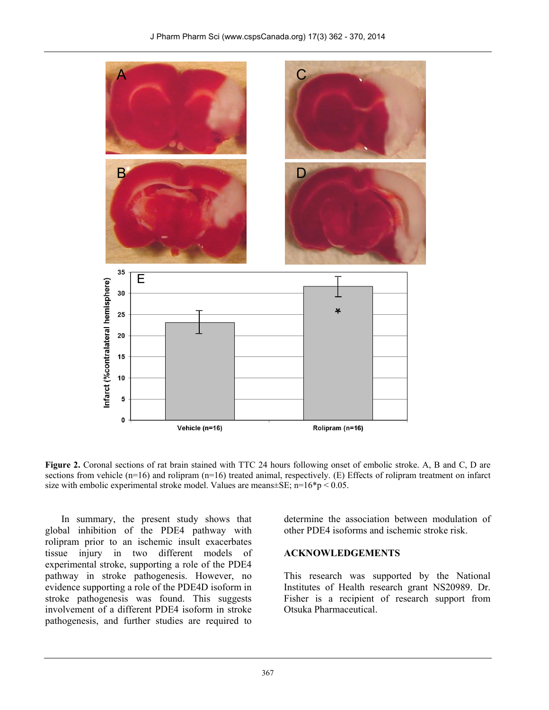

**Figure 2.** Coronal sections of rat brain stained with TTC 24 hours following onset of embolic stroke. A, B and C, D are sections from vehicle  $(n=16)$  and rolipram  $(n=16)$  treated animal, respectively. (E) Effects of rolipram treatment on infarct size with embolic experimental stroke model. Values are means $\pm$ SE; n=16<sup>\*</sup>p < 0.05.

In summary, the present study shows that global inhibition of the PDE4 pathway with rolipram prior to an ischemic insult exacerbates tissue injury in two different models of experimental stroke, supporting a role of the PDE4 pathway in stroke pathogenesis. However, no evidence supporting a role of the PDE4D isoform in stroke pathogenesis was found. This suggests involvement of a different PDE4 isoform in stroke pathogenesis, and further studies are required to determine the association between modulation of other PDE4 isoforms and ischemic stroke risk.

#### **ACKNOWLEDGEMENTS**

This research was supported by the National Institutes of Health research grant NS20989. Dr. Fisher is a recipient of research support from Otsuka Pharmaceutical.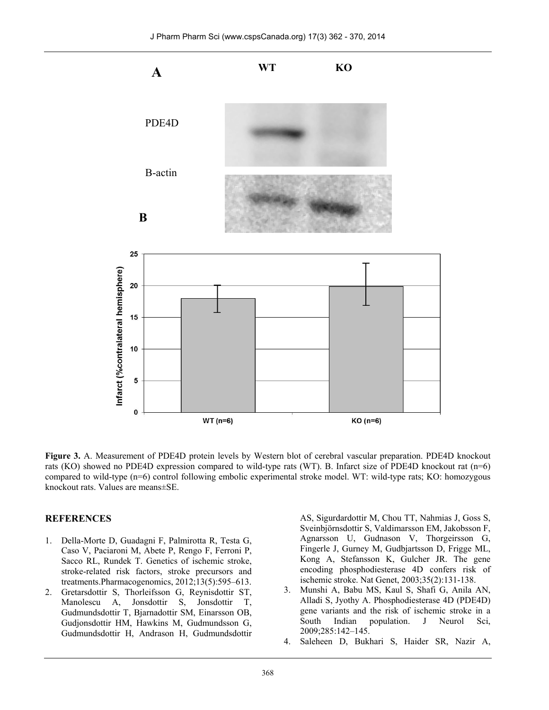

**Figure 3.** A. Measurement of PDE4D protein levels by Western blot of cerebral vascular preparation. PDE4D knockout rats (KO) showed no PDE4D expression compared to wild-type rats (WT). B. Infarct size of PDE4D knockout rat (n=6) compared to wild-type (n=6) control following embolic experimental stroke model. WT: wild-type rats; KO: homozygous knockout rats. Values are means±SE.

#### **REFERENCES**

- 1. Della-Morte D, Guadagni F, Palmirotta R, Testa G, Caso V, Paciaroni M, Abete P, Rengo F, Ferroni P, Sacco RL, Rundek T. Genetics of ischemic stroke, stroke-related risk factors, stroke precursors and treatments.Pharmacogenomics, 2012;13(5):595–613.
- 2. Gretarsdottir S, Thorleifsson G, Reynisdottir ST, Manolescu A, Jonsdottir S, Jonsdottir T, Gudmundsdottir T, Bjarnadottir SM, Einarsson OB, Gudjonsdottir HM, Hawkins M, Gudmundsson G, Gudmundsdottir H, Andrason H, Gudmundsdottir

AS, Sigurdardottir M, Chou TT, Nahmias J, Goss S, Sveinbjörnsdottir S, Valdimarsson EM, Jakobsson F, Agnarsson U, Gudnason V, Thorgeirsson G, Fingerle J, Gurney M, Gudbjartsson D, Frigge ML, Kong A, Stefansson K, Gulcher JR. The gene encoding phosphodiesterase 4D confers risk of ischemic stroke. Nat Genet, 2003;35(2):131-138.

- 3. Munshi A, Babu MS, Kaul S, Shafi G, Anila AN, Alladi S, Jyothy A. Phosphodiesterase 4D (PDE4D) gene variants and the risk of ischemic stroke in a<br>South Indian population. J Neurol Sci, South Indian population. J Neurol Sci, 2009;285:142–145.
- 4. Saleheen D, Bukhari S, Haider SR, Nazir A,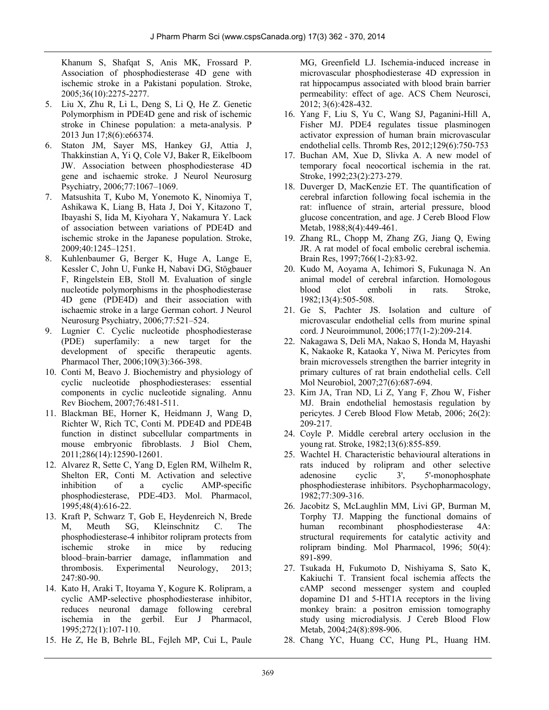Khanum S, Shafqat S, Anis MK, Frossard P. Association of phosphodiesterase 4D gene with ischemic stroke in a Pakistani population. Stroke, 2005;36(10):2275-2277.

- 5. Liu X, Zhu R, Li L, Deng S, Li Q, He Z. Genetic Polymorphism in PDE4D gene and risk of ischemic stroke in Chinese population: a meta-analysis. P 2013 Jun 17;8(6):e66374.
- 6. Staton JM, Sayer MS, Hankey GJ, Attia J, Thakkinstian A, Yi Q, Cole VJ, Baker R, Eikelboom JW. Association between phosphodiesterase 4D gene and ischaemic stroke. J Neurol Neurosurg Psychiatry, 2006;77:1067–1069.
- 7. Matsushita T, Kubo M, Yonemoto K, Ninomiya T, Ashikawa K, Liang B, Hata J, Doi Y, Kitazono T, Ibayashi S, Iida M, Kiyohara Y, Nakamura Y. Lack of association between variations of PDE4D and ischemic stroke in the Japanese population. Stroke, 2009;40:1245–1251.
- 8. Kuhlenbaumer G, Berger K, Huge A, Lange E, Kessler C, John U, Funke H, Nabavi DG, Stögbauer F, Ringelstein EB, Stoll M. Evaluation of single nucleotide polymorphisms in the phosphodiesterase 4D gene (PDE4D) and their association with ischaemic stroke in a large German cohort. J Neurol Neurosurg Psychiatry, 2006;77:521–524.
- 9. Lugnier C. Cyclic nucleotide phosphodiesterase (PDE) superfamily: a new target for the development of specific therapeutic agents. Pharmacol Ther, 2006;109(3):366-398.
- 10. Conti M, Beavo J. Biochemistry and physiology of cyclic nucleotide phosphodiesterases: essential components in cyclic nucleotide signaling. Annu Rev Biochem, 2007;76:481-511.
- 11. Blackman BE, Horner K, Heidmann J, Wang D, Richter W, Rich TC, Conti M. PDE4D and PDE4B function in distinct subcellular compartments in mouse embryonic fibroblasts. J Biol Chem, 2011;286(14):12590-12601.
- 12. Alvarez R, Sette C, Yang D, Eglen RM, Wilhelm R, Shelton ER, Conti M. Activation and selective inhibition of a cyclic AMP-specific phosphodiesterase, PDE-4D3. Mol. Pharmacol, 1995;48(4):616-22.
- 13. Kraft P, Schwarz T, Gob E, Heydenreich N, Brede M, Meuth SG, Kleinschnitz C. The phosphodiesterase-4 inhibitor rolipram protects from ischemic stroke in mice by reducing blood–brain-barrier damage, inflammation and thrombosis. Experimental Neurology, 2013; 247:80-90.
- 14. Kato H, Araki T, Itoyama Y, Kogure K. Rolipram, a cyclic AMP-selective phosphodiesterase inhibitor, reduces neuronal damage following cerebral ischemia in the gerbil. Eur J Pharmacol, 1995;272(1):107-110.
- 15. He Z, He B, Behrle BL, Fejleh MP, Cui L, Paule

MG, Greenfield LJ. Ischemia-induced increase in microvascular phosphodiesterase 4D expression in rat hippocampus associated with blood brain barrier permeability: effect of age. ACS Chem Neurosci, 2012; 3(6):428-432.

- 16. Yang F, Liu S, Yu C, Wang SJ, Paganini-Hill A, Fisher MJ. PDE4 regulates tissue plasminogen activator expression of human brain microvascular endothelial cells. Thromb Res, 2012;129(6):750-753
- 17. Buchan AM, Xue D, Slivka A. A new model of temporary focal neocortical ischemia in the rat. Stroke, 1992;23(2):273-279.
- 18. Duverger D, MacKenzie ET. The quantification of cerebral infarction following focal ischemia in the rat: influence of strain, arterial pressure, blood glucose concentration, and age. J Cereb Blood Flow Metab, 1988;8(4):449-461.
- 19. Zhang RL, Chopp M, Zhang ZG, Jiang Q, Ewing JR. A rat model of focal embolic cerebral ischemia. Brain Res, 1997;766(1-2):83-92.
- 20. Kudo M, Aoyama A, Ichimori S, Fukunaga N. An animal model of cerebral infarction. Homologous blood clot emboli in rats. Stroke, 1982;13(4):505-508.
- 21. Ge S, Pachter JS. Isolation and culture of microvascular endothelial cells from murine spinal cord. J Neuroimmunol, 2006;177(1-2):209-214.
- 22. Nakagawa S, Deli MA, Nakao S, Honda M, Hayashi K, Nakaoke R, Kataoka Y, Niwa M. Pericytes from brain microvessels strengthen the barrier integrity in primary cultures of rat brain endothelial cells. Cell Mol Neurobiol, 2007;27(6):687-694.
- 23. Kim JA, Tran ND, Li Z, Yang F, Zhou W, Fisher MJ. Brain endothelial hemostasis regulation by pericytes. J Cereb Blood Flow Metab, 2006; 26(2): 209-217.
- 24. Coyle P. Middle cerebral artery occlusion in the young rat. Stroke, 1982;13(6):855-859.
- 25. Wachtel H. Characteristic behavioural alterations in rats induced by rolipram and other selective adenosine cyclic 3', 5'-monophosphate phosphodiesterase inhibitors. Psychopharmacology, 1982;77:309-316.
- 26. Jacobitz S, McLaughlin MM, Livi GP, Burman M, Torphy TJ. Mapping the functional domains of human recombinant phosphodiesterase 4A: structural requirements for catalytic activity and rolipram binding. Mol Pharmacol, 1996; 50(4): 891-899.
- 27. Tsukada H, Fukumoto D, Nishiyama S, Sato K, Kakiuchi T. Transient focal ischemia affects the cAMP second messenger system and coupled dopamine D1 and 5-HT1A receptors in the living monkey brain: a positron emission tomography study using microdialysis. J Cereb Blood Flow Metab, 2004;24(8):898-906.
- 28. Chang YC, Huang CC, Hung PL, Huang HM.